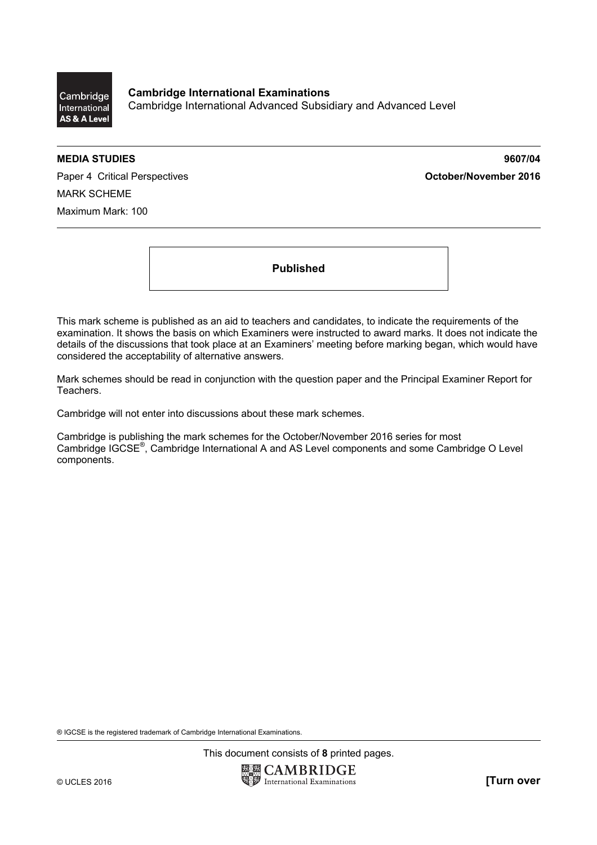

**Cambridge International Examinations**  Cambridge International Advanced Subsidiary and Advanced Level

**MEDIA STUDIES 9607/04** 

Paper 4 Critical Perspectives **Container 2016 October/November 2016** MARK SCHEME Maximum Mark: 100

**Published** 

This mark scheme is published as an aid to teachers and candidates, to indicate the requirements of the examination. It shows the basis on which Examiners were instructed to award marks. It does not indicate the details of the discussions that took place at an Examiners' meeting before marking began, which would have considered the acceptability of alternative answers.

Mark schemes should be read in conjunction with the question paper and the Principal Examiner Report for Teachers.

Cambridge will not enter into discussions about these mark schemes.

Cambridge is publishing the mark schemes for the October/November 2016 series for most Cambridge IGCSE®, Cambridge International A and AS Level components and some Cambridge O Level components.

® IGCSE is the registered trademark of Cambridge International Examinations.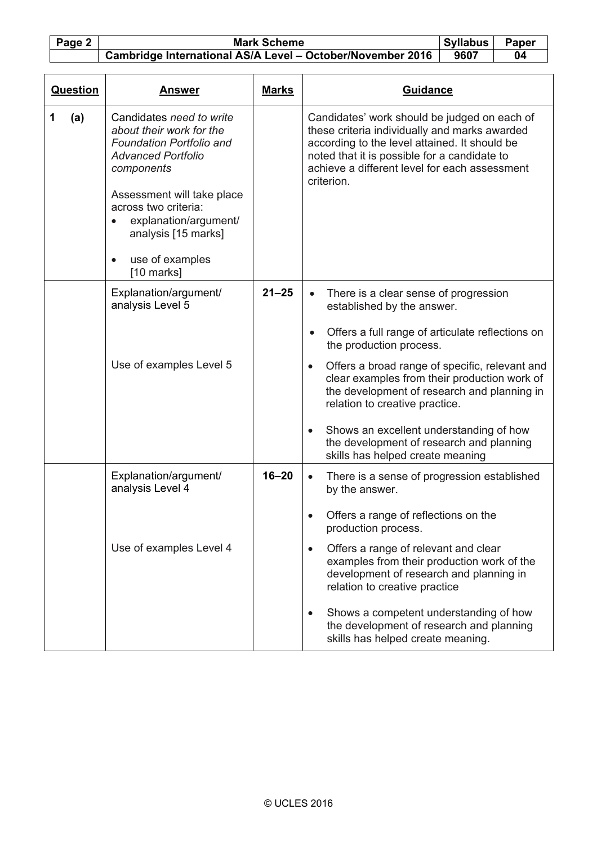## Page 2 Mark Scheme Syllabus | Paper **Cambridge International AS/A Level – October/November 2016** | 9607 | 04

| <b>Question</b> | Answer                                                                                                                                                                                                                                                                   | <b>Marks</b> | Guidance                                                                                                                                                                                                                                                      |  |
|-----------------|--------------------------------------------------------------------------------------------------------------------------------------------------------------------------------------------------------------------------------------------------------------------------|--------------|---------------------------------------------------------------------------------------------------------------------------------------------------------------------------------------------------------------------------------------------------------------|--|
| (a)<br>1        | Candidates need to write<br>about their work for the<br><b>Foundation Portfolio and</b><br><b>Advanced Portfolio</b><br>components<br>Assessment will take place<br>across two criteria:<br>explanation/argument/<br>analysis [15 marks]<br>use of examples<br>$\bullet$ |              | Candidates' work should be judged on each of<br>these criteria individually and marks awarded<br>according to the level attained. It should be<br>noted that it is possible for a candidate to<br>achieve a different level for each assessment<br>criterion. |  |
|                 | [10 marks]<br>Explanation/argument/                                                                                                                                                                                                                                      | $21 - 25$    | There is a clear sense of progression<br>$\bullet$                                                                                                                                                                                                            |  |
|                 | analysis Level 5                                                                                                                                                                                                                                                         |              | established by the answer.                                                                                                                                                                                                                                    |  |
|                 |                                                                                                                                                                                                                                                                          |              | Offers a full range of articulate reflections on<br>$\bullet$<br>the production process.                                                                                                                                                                      |  |
|                 | Use of examples Level 5                                                                                                                                                                                                                                                  |              | Offers a broad range of specific, relevant and<br>clear examples from their production work of<br>the development of research and planning in<br>relation to creative practice.                                                                               |  |
|                 |                                                                                                                                                                                                                                                                          |              | Shows an excellent understanding of how<br>the development of research and planning<br>skills has helped create meaning                                                                                                                                       |  |
|                 | Explanation/argument/<br>analysis Level 4                                                                                                                                                                                                                                | $16 - 20$    | There is a sense of progression established<br>$\bullet$<br>by the answer.                                                                                                                                                                                    |  |
|                 |                                                                                                                                                                                                                                                                          |              | Offers a range of reflections on the<br>production process.                                                                                                                                                                                                   |  |
|                 | Use of examples Level 4                                                                                                                                                                                                                                                  |              | Offers a range of relevant and clear<br>$\bullet$<br>examples from their production work of the<br>development of research and planning in<br>relation to creative practice                                                                                   |  |
|                 |                                                                                                                                                                                                                                                                          |              | Shows a competent understanding of how<br>the development of research and planning<br>skills has helped create meaning.                                                                                                                                       |  |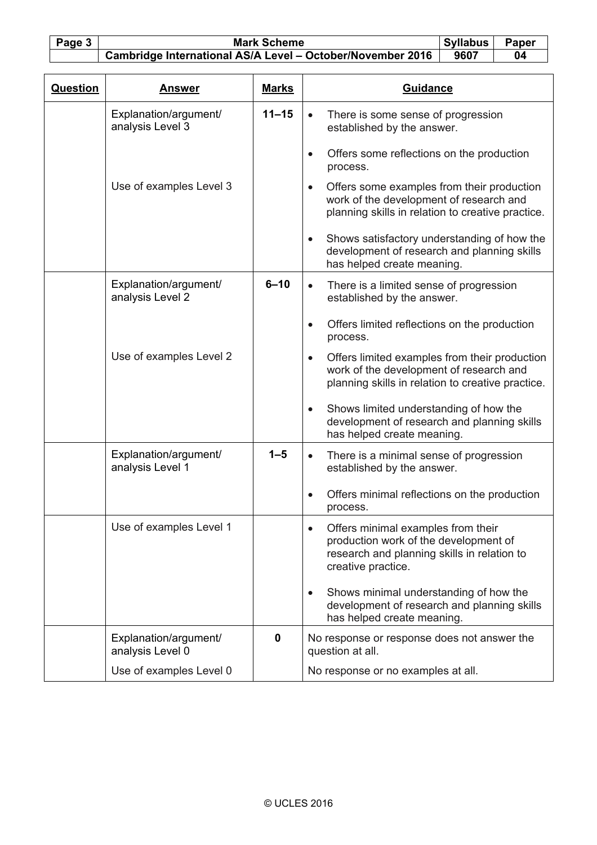Page 3 Mark Scheme Syllabus | Paper **Cambridge International AS/A Level – October/November 2016** | 9607 | 04

| Question | Answer                                    | <b>Marks</b> | <b>Guidance</b>                                                                                                                                            |  |
|----------|-------------------------------------------|--------------|------------------------------------------------------------------------------------------------------------------------------------------------------------|--|
|          | Explanation/argument/<br>analysis Level 3 | $11 - 15$    | There is some sense of progression<br>$\bullet$<br>established by the answer.                                                                              |  |
|          |                                           |              | Offers some reflections on the production<br>$\bullet$<br>process.                                                                                         |  |
|          | Use of examples Level 3                   |              | Offers some examples from their production<br>$\bullet$<br>work of the development of research and<br>planning skills in relation to creative practice.    |  |
|          |                                           |              | Shows satisfactory understanding of how the<br>$\bullet$<br>development of research and planning skills<br>has helped create meaning.                      |  |
|          | Explanation/argument/<br>analysis Level 2 | $6 - 10$     | There is a limited sense of progression<br>$\bullet$<br>established by the answer.                                                                         |  |
|          |                                           |              | Offers limited reflections on the production<br>$\bullet$<br>process.                                                                                      |  |
|          | Use of examples Level 2                   |              | Offers limited examples from their production<br>$\bullet$<br>work of the development of research and<br>planning skills in relation to creative practice. |  |
|          |                                           |              | Shows limited understanding of how the<br>$\bullet$<br>development of research and planning skills<br>has helped create meaning.                           |  |
|          | Explanation/argument/<br>analysis Level 1 | $1 - 5$      | There is a minimal sense of progression<br>established by the answer.                                                                                      |  |
|          |                                           |              | Offers minimal reflections on the production<br>$\bullet$<br>process.                                                                                      |  |
|          | Use of examples Level 1                   |              | Offers minimal examples from their<br>production work of the development of<br>research and planning skills in relation to<br>creative practice.           |  |
|          |                                           |              | Shows minimal understanding of how the<br>development of research and planning skills<br>has helped create meaning.                                        |  |
|          | Explanation/argument/<br>analysis Level 0 | $\mathbf 0$  | No response or response does not answer the<br>question at all.                                                                                            |  |
|          | Use of examples Level 0                   |              | No response or no examples at all.                                                                                                                         |  |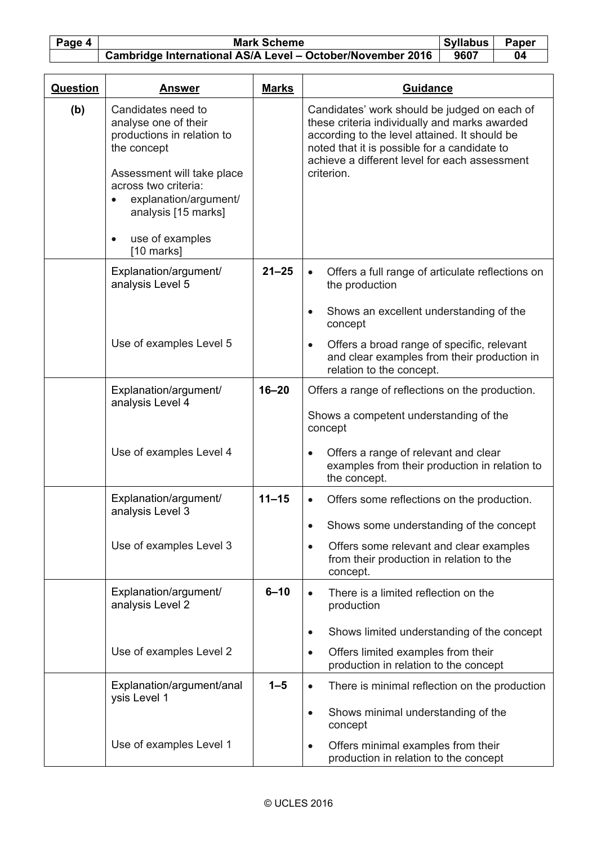Page 4 Mark Scheme Syllabus Paper<br>
Cambridge International AS/A Level – October/November 2016 9607 04  **Cambridge International AS/A Level - October/November 2016** 

| <b>Question</b> | <u>Answer</u>                                                                                                                                                                                                                 | <b>Marks</b> | <b>Guidance</b>                                                                                                                                                                                                                                               |  |  |
|-----------------|-------------------------------------------------------------------------------------------------------------------------------------------------------------------------------------------------------------------------------|--------------|---------------------------------------------------------------------------------------------------------------------------------------------------------------------------------------------------------------------------------------------------------------|--|--|
| (b)             | Candidates need to<br>analyse one of their<br>productions in relation to<br>the concept<br>Assessment will take place<br>across two criteria:<br>explanation/argument/<br>$\bullet$<br>analysis [15 marks]<br>use of examples |              | Candidates' work should be judged on each of<br>these criteria individually and marks awarded<br>according to the level attained. It should be<br>noted that it is possible for a candidate to<br>achieve a different level for each assessment<br>criterion. |  |  |
|                 | $[10$ marks]                                                                                                                                                                                                                  |              |                                                                                                                                                                                                                                                               |  |  |
|                 | Explanation/argument/<br>analysis Level 5                                                                                                                                                                                     | $21 - 25$    | Offers a full range of articulate reflections on<br>$\bullet$<br>the production<br>Shows an excellent understanding of the<br>$\bullet$<br>concept                                                                                                            |  |  |
|                 | Use of examples Level 5                                                                                                                                                                                                       |              | Offers a broad range of specific, relevant<br>$\bullet$<br>and clear examples from their production in<br>relation to the concept.                                                                                                                            |  |  |
|                 | Explanation/argument/<br>analysis Level 4                                                                                                                                                                                     | $16 - 20$    | Offers a range of reflections on the production.<br>Shows a competent understanding of the<br>concept                                                                                                                                                         |  |  |
|                 | Use of examples Level 4                                                                                                                                                                                                       |              | Offers a range of relevant and clear<br>$\bullet$<br>examples from their production in relation to<br>the concept.                                                                                                                                            |  |  |
|                 | Explanation/argument/<br>analysis Level 3                                                                                                                                                                                     | $11 - 15$    | Offers some reflections on the production.<br>$\bullet$                                                                                                                                                                                                       |  |  |
|                 |                                                                                                                                                                                                                               |              | Shows some understanding of the concept                                                                                                                                                                                                                       |  |  |
|                 | Use of examples Level 3                                                                                                                                                                                                       |              | Offers some relevant and clear examples<br>$\bullet$<br>from their production in relation to the<br>concept.                                                                                                                                                  |  |  |
|                 | Explanation/argument/<br>analysis Level 2                                                                                                                                                                                     | $6 - 10$     | There is a limited reflection on the<br>$\bullet$<br>production<br>Shows limited understanding of the concept<br>$\bullet$                                                                                                                                    |  |  |
|                 | Use of examples Level 2                                                                                                                                                                                                       |              | Offers limited examples from their<br>$\bullet$<br>production in relation to the concept                                                                                                                                                                      |  |  |
|                 | Explanation/argument/anal<br>ysis Level 1                                                                                                                                                                                     | $1-5$        | There is minimal reflection on the production<br>$\bullet$<br>Shows minimal understanding of the<br>$\bullet$<br>concept                                                                                                                                      |  |  |
|                 | Use of examples Level 1                                                                                                                                                                                                       |              | Offers minimal examples from their<br>$\bullet$<br>production in relation to the concept                                                                                                                                                                      |  |  |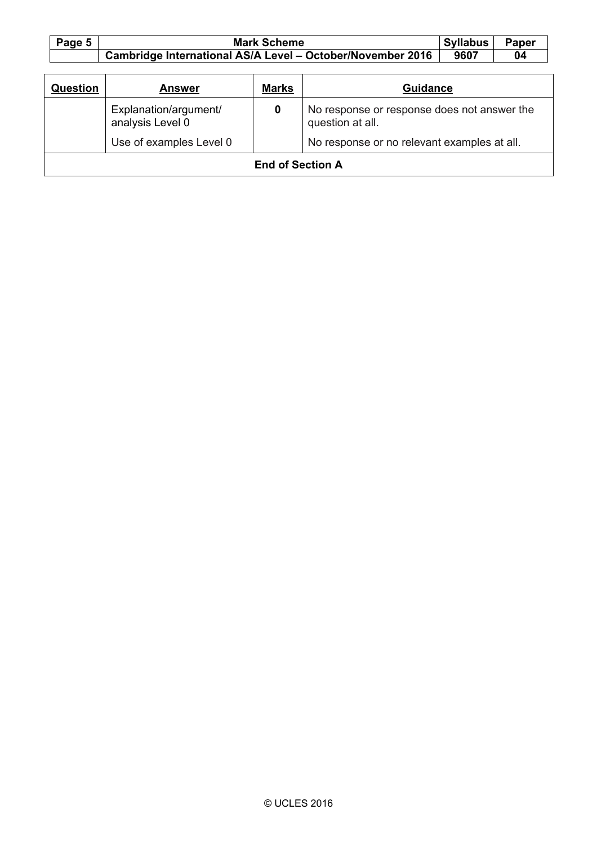| Page 5 | <b>Mark Scheme</b>                                         | <b>Syllabus</b> | <b>Paper</b> |
|--------|------------------------------------------------------------|-----------------|--------------|
|        | Cambridge International AS/A Level - October/November 2016 | 9607            |              |

| <b>Question</b>         | <b>Answer</b>                             | <b>Marks</b> | <b>Guidance</b>                                                 |  |
|-------------------------|-------------------------------------------|--------------|-----------------------------------------------------------------|--|
|                         | Explanation/argument/<br>analysis Level 0 | 0            | No response or response does not answer the<br>question at all. |  |
|                         | Use of examples Level 0                   |              | No response or no relevant examples at all.                     |  |
| <b>End of Section A</b> |                                           |              |                                                                 |  |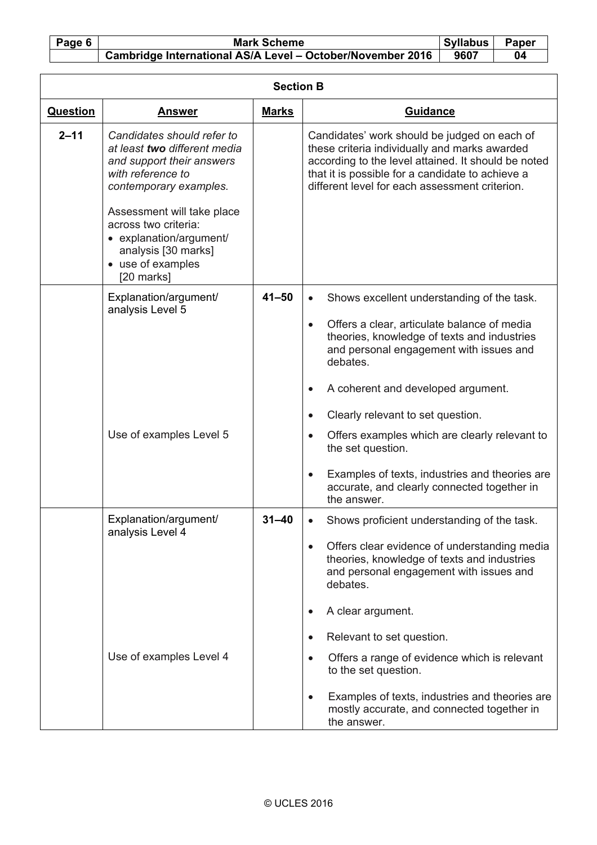## Page 6 Mark Scheme Syllabus Paper<br>
Cambridge International AS/A Level - October/November 2016 9607 04  **Cambridge International AS/A Level - October/November 2016**

| <b>Section B</b> |                                                                                                                                                                      |              |                                                                                                                                                                                                                                                            |  |
|------------------|----------------------------------------------------------------------------------------------------------------------------------------------------------------------|--------------|------------------------------------------------------------------------------------------------------------------------------------------------------------------------------------------------------------------------------------------------------------|--|
| <b>Question</b>  | <u>Answer</u>                                                                                                                                                        | <b>Marks</b> | Guidance                                                                                                                                                                                                                                                   |  |
| $2 - 11$         | Candidates should refer to<br>at least two different media<br>and support their answers<br>with reference to<br>contemporary examples.<br>Assessment will take place |              | Candidates' work should be judged on each of<br>these criteria individually and marks awarded<br>according to the level attained. It should be noted<br>that it is possible for a candidate to achieve a<br>different level for each assessment criterion. |  |
|                  | across two criteria:<br>• explanation/argument/<br>analysis [30 marks]<br>• use of examples<br>[20 marks]                                                            |              |                                                                                                                                                                                                                                                            |  |
|                  | Explanation/argument/<br>analysis Level 5                                                                                                                            | $41 - 50$    | Shows excellent understanding of the task.<br>$\bullet$<br>Offers a clear, articulate balance of media<br>$\bullet$<br>theories, knowledge of texts and industries<br>and personal engagement with issues and<br>debates.                                  |  |
|                  |                                                                                                                                                                      |              | A coherent and developed argument.<br>$\bullet$                                                                                                                                                                                                            |  |
|                  |                                                                                                                                                                      |              | Clearly relevant to set question.<br>$\bullet$                                                                                                                                                                                                             |  |
|                  | Use of examples Level 5                                                                                                                                              |              | Offers examples which are clearly relevant to<br>$\bullet$<br>the set question.                                                                                                                                                                            |  |
|                  |                                                                                                                                                                      |              | Examples of texts, industries and theories are<br>$\bullet$<br>accurate, and clearly connected together in<br>the answer.                                                                                                                                  |  |
|                  | Explanation/argument/<br>analysis Level 4                                                                                                                            | $31 - 40$    | Shows proficient understanding of the task.                                                                                                                                                                                                                |  |
|                  |                                                                                                                                                                      |              | Offers clear evidence of understanding media<br>theories, knowledge of texts and industries<br>and personal engagement with issues and<br>debates.                                                                                                         |  |
|                  |                                                                                                                                                                      |              | A clear argument.                                                                                                                                                                                                                                          |  |
|                  |                                                                                                                                                                      |              | Relevant to set question.<br>$\bullet$                                                                                                                                                                                                                     |  |
|                  | Use of examples Level 4                                                                                                                                              |              | Offers a range of evidence which is relevant<br>$\bullet$<br>to the set question.                                                                                                                                                                          |  |
|                  |                                                                                                                                                                      |              | Examples of texts, industries and theories are<br>$\bullet$<br>mostly accurate, and connected together in<br>the answer.                                                                                                                                   |  |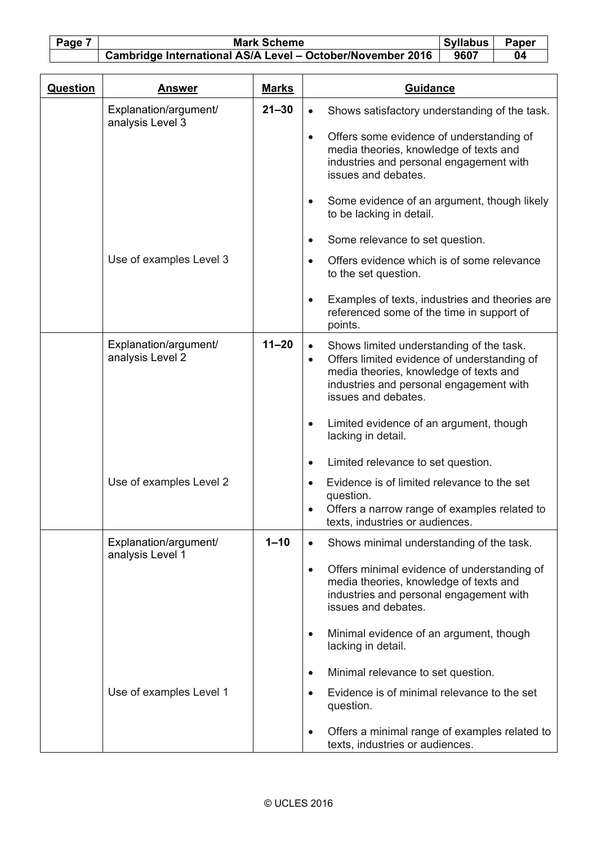Page 7 Mark Scheme Syllabus | Paper **Cambridge International AS/A Level – October/November 2016** | 9607 | 04

| <b>Question</b> | <b>Answer</b>                             | <b>Marks</b> | <b>Guidance</b>                                                                                                                                                                                                               |  |  |
|-----------------|-------------------------------------------|--------------|-------------------------------------------------------------------------------------------------------------------------------------------------------------------------------------------------------------------------------|--|--|
|                 | Explanation/argument/<br>analysis Level 3 | $21 - 30$    | Shows satisfactory understanding of the task.<br>$\bullet$                                                                                                                                                                    |  |  |
|                 |                                           |              | Offers some evidence of understanding of<br>$\bullet$<br>media theories, knowledge of texts and<br>industries and personal engagement with<br>issues and debates.                                                             |  |  |
|                 |                                           |              | Some evidence of an argument, though likely<br>to be lacking in detail.                                                                                                                                                       |  |  |
|                 |                                           |              | Some relevance to set question.<br>$\bullet$                                                                                                                                                                                  |  |  |
|                 | Use of examples Level 3                   |              | Offers evidence which is of some relevance<br>$\bullet$<br>to the set question.                                                                                                                                               |  |  |
|                 |                                           |              | Examples of texts, industries and theories are<br>$\bullet$<br>referenced some of the time in support of<br>points.                                                                                                           |  |  |
|                 | Explanation/argument/<br>analysis Level 2 | $11 - 20$    | Shows limited understanding of the task.<br>$\bullet$<br>Offers limited evidence of understanding of<br>$\bullet$<br>media theories, knowledge of texts and<br>industries and personal engagement with<br>issues and debates. |  |  |
|                 |                                           |              | Limited evidence of an argument, though<br>lacking in detail.                                                                                                                                                                 |  |  |
|                 |                                           |              | Limited relevance to set question.<br>$\bullet$                                                                                                                                                                               |  |  |
|                 | Use of examples Level 2                   |              | Evidence is of limited relevance to the set<br>$\bullet$<br>question.                                                                                                                                                         |  |  |
|                 |                                           |              | Offers a narrow range of examples related to<br>texts, industries or audiences.                                                                                                                                               |  |  |
|                 | Explanation/argument/<br>analysis Level 1 | $1 - 10$     | Shows minimal understanding of the task.<br>$\bullet$                                                                                                                                                                         |  |  |
|                 |                                           |              | Offers minimal evidence of understanding of<br>$\bullet$<br>media theories, knowledge of texts and<br>industries and personal engagement with<br>issues and debates.                                                          |  |  |
|                 |                                           |              | Minimal evidence of an argument, though<br>$\bullet$<br>lacking in detail.                                                                                                                                                    |  |  |
|                 |                                           |              | Minimal relevance to set question.<br>$\bullet$                                                                                                                                                                               |  |  |
|                 | Use of examples Level 1                   |              | Evidence is of minimal relevance to the set<br>$\bullet$<br>question.                                                                                                                                                         |  |  |
|                 |                                           |              | Offers a minimal range of examples related to<br>$\bullet$<br>texts, industries or audiences.                                                                                                                                 |  |  |